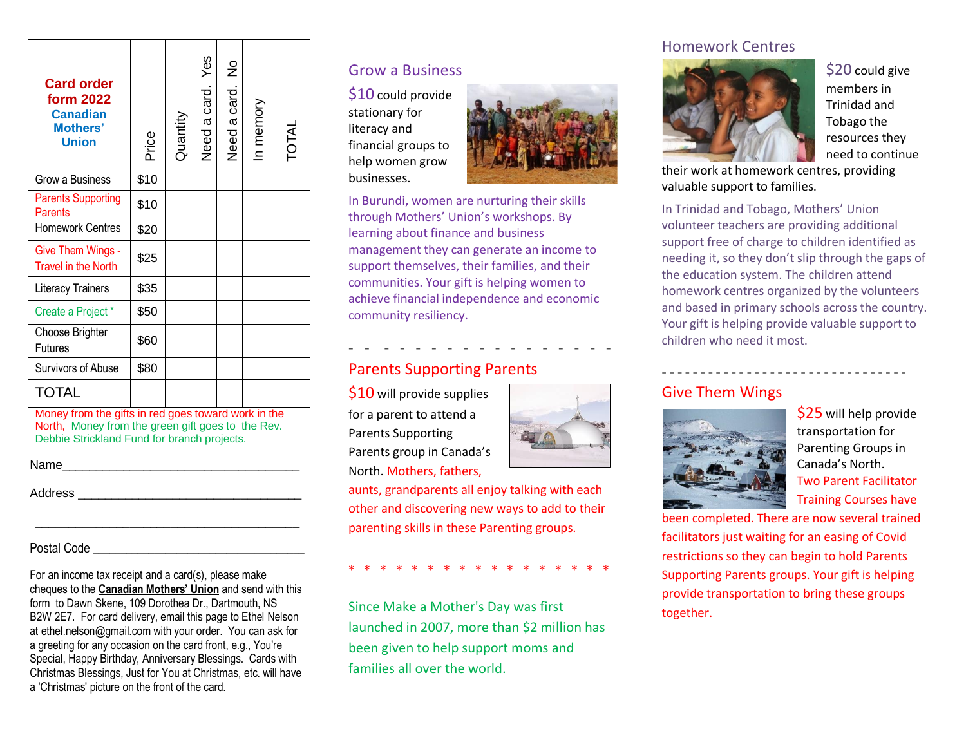| <b>Card order</b><br>form 2022<br><b>Canadian</b><br><b>Mothers'</b><br><b>Union</b> | Price | Quantity | Yes<br>Need a card. | ž<br>Need a card. | In memory | TOTAL |
|--------------------------------------------------------------------------------------|-------|----------|---------------------|-------------------|-----------|-------|
| Grow a Business                                                                      | \$10  |          |                     |                   |           |       |
| <b>Parents Supporting</b><br><b>Parents</b>                                          | \$10  |          |                     |                   |           |       |
| <b>Homework Centres</b>                                                              | \$20  |          |                     |                   |           |       |
| Give Them Wings -<br><b>Travel in the North</b>                                      | \$25  |          |                     |                   |           |       |
| Literacy Trainers                                                                    | \$35  |          |                     |                   |           |       |
| Create a Project *                                                                   | \$50  |          |                     |                   |           |       |
| Choose Brighter<br><b>Futures</b>                                                    | \$60  |          |                     |                   |           |       |
| Survivors of Abuse                                                                   | \$80  |          |                     |                   |           |       |
| <b>TOTAL</b>                                                                         |       |          |                     |                   |           |       |

Money from the gifts in red goes toward work in the North, Money from the green gift goes to the Rev. Debbie Strickland Fund for branch projects.

| Name |
|------|
|------|

Address **and a set of the set of the set of the set of the set of the set of the set of the set of the set of the set of the set of the set of the set of the set of the set of the set of the set of the set of the set of th** 

#### Postal Code

For an income tax receipt and a card(s), please make cheques to the **Canadian Mothers' Union** and send with this form to Dawn Skene, 109 Dorothea Dr., Dartmouth, NS B2W 2E7. For card delivery, email this page to Ethel Nelson at ethel.nelson@gmail.com with your order. You can ask for a greeting for any occasion on the card front, e.g., You're Special, Happy Birthday, Anniversary Blessings. Cards with Christmas Blessings, Just for You at Christmas, etc. will have a 'Christmas' picture on the front of the card.

\_\_\_\_\_\_\_\_\_\_\_\_\_\_\_\_\_\_\_\_\_\_\_\_\_\_\_\_\_\_\_\_\_\_\_\_\_\_\_

### Grow a Business

\$10 could provide stationary for literacy and financial groups to help women grow businesses.



In Burundi, women are nurturing their skills through Mothers' Union's workshops. By learning about finance and business management they can generate an income to support themselves, their families, and their communities. Your gift is helping women to achieve financial independence and economic community resiliency.

- - - - - - - - - - - - - - - - -

### Parents Supporting Parents

\$10 will provide supplies for a parent to attend a Parents Supporting Parents group in Canada's North. Mothers, fathers,

aunts, grandparents all enjoy talking with each other and discovering new ways to add to their parenting skills in these Parenting groups.

\* \* \* \* \* \* \* \* \* \* \* \* \* \* \* \* \*

Since Make a Mother's Day was first launched in 2007, more than \$2 million has been given to help support moms and families all over the world.

### Homework Centres



\$20 could give members in Trinidad and Tobago the resources they need to continue

their work at homework centres, providing valuable support to families.

In Trinidad and Tobago, Mothers' Union volunteer teachers are providing additional support free of charge to children identified as needing it, so they don't slip through the gaps of the education system. The children attend homework centres organized by the volunteers and based in primary schools across the country. Your gift is helping provide valuable support to children who need it most.

**- - - - - - - - - - - - - - - - - - - - - - - - - - - - - - - -**

### Give Them Wings



\$25 will help provide transportation for Parenting Groups in Canada's North. Two Parent Facilitator Training Courses have

been completed. There are now several trained facilitators just waiting for an easing of Covid restrictions so they can begin to hold Parents Supporting Parents groups. Your gift is helping provide transportation to bring these groups together.